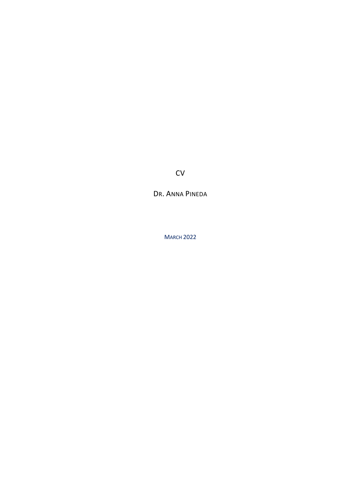CV

DR. ANNA PINEDA

MARCH 2022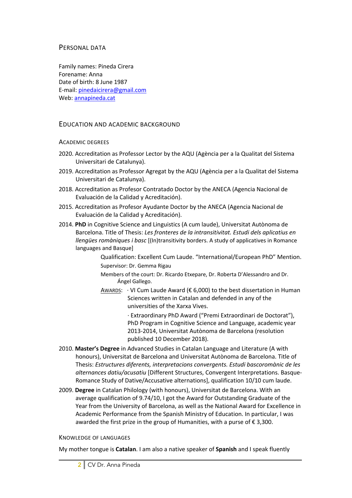### PERSONAL DATA

Family names: Pineda Cirera Forename: Anna Date of birth: 8 June 1987 E-mail: pinedaicirera@gmail.com Web: annapineda.cat

### EDUCATION AND ACADEMIC BACKGROUND

#### ACADEMIC DEGREES

- 2020. Accreditation as Professor Lector by the AQU (Agència per a la Qualitat del Sistema Universitari de Catalunya).
- 2019. Accreditation as Professor Agregat by the AQU (Agència per a la Qualitat del Sistema Universitari de Catalunya).
- 2018. Accreditation as Profesor Contratado Doctor by the ANECA (Agencia Nacional de Evaluación de la Calidad y Acreditación).
- 2015. Accreditation as Profesor Ayudante Doctor by the ANECA (Agencia Nacional de Evaluación de la Calidad y Acreditación).
- 2014. **PhD** in Cognitive Science and Linguistics (A cum laude), Universitat Autònoma de Barcelona. Title of Thesis: *Les fronteres de la intransitivitat. Estudi dels aplicatius en llengües romàniques i basc* [(In)transitivity borders. A study of applicatives in Romance languages and Basque]

Qualification: Excellent Cum Laude. "International/European PhD" Mention. Supervisor: Dr. Gemma Rigau

Members of the court: Dr. Ricardo Etxepare, Dr. Roberta D'Alessandro and Dr. Ángel Gallego.

AWARDS:  $\cdot$  VI Cum Laude Award (€ 6,000) to the best dissertation in Human Sciences written in Catalan and defended in any of the universities of the Xarxa Vives.

> · Extraordinary PhD Award ("Premi Extraordinari de Doctorat"), PhD Program in Cognitive Science and Language, academic year 2013-2014, Universitat Autònoma de Barcelona (resolution published 10 December 2018).

- 2010. **Master's Degree** in Advanced Studies in Catalan Language and Literature (A with honours), Universitat de Barcelona and Universitat Autònoma de Barcelona. Title of Thesis: *Estructures diferents, interpretacions convergents. Estudi bascoromànic de les alternances datiu/acusatiu* [Different Structures, Convergent Interpretations. Basque-Romance Study of Dative/Accusative alternations], qualification 10/10 cum laude.
- 2009. **Degree** in Catalan Philology (with honours), Universitat de Barcelona. With an average qualification of 9.74/10, I got the Award for Outstanding Graduate of the Year from the University of Barcelona, as well as the National Award for Excellence in Academic Performance from the Spanish Ministry of Education. In particular, I was awarded the first prize in the group of Humanities, with a purse of  $\epsilon$  3,300.

#### KNOWLEDGE OF LANGUAGES

My mother tongue is **Catalan**. I am also a native speaker of **Spanish** and I speak fluently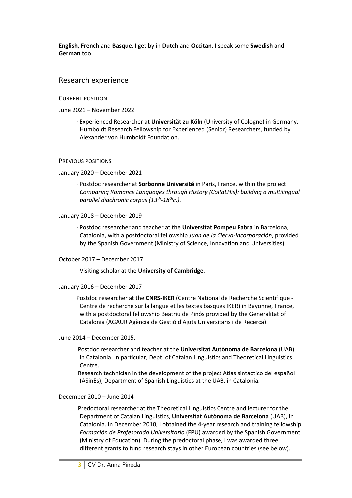**English**, **French** and **Basque**. I get by in **Dutch** and **Occitan**. I speak some **Swedish** and **German** too.

# Research experience

CURRENT POSITION

June 2021 – November 2022

 · Experienced Researcher at **Universität zu Köln** (University of Cologne) in Germany. Humboldt Research Fellowship for Experienced (Senior) Researchers, funded by Alexander von Humboldt Foundation.

#### PREVIOUS POSITIONS

January 2020 – December 2021

 · Postdoc researcher at **Sorbonne Université** in París, France, within the project *Comparing Romance Languages through History (CoRaLHis): building a multilingual parallel diachronic corpus (13th-18thc.)*.

January 2018 – December 2019

 · Postdoc researcher and teacher at the **Universitat Pompeu Fabra** in Barcelona, Catalonia, with a postdoctoral fellowship *Juan de la Cierva-incorporación*, provided by the Spanish Government (Ministry of Science, Innovation and Universities).

October 2017 – December 2017

Visiting scholar at the **University of Cambridge**.

January 2016 – December 2017

 Postdoc researcher at the **CNRS-IKER** (Centre National de Recherche Scientifique - Centre de recherche sur la langue et les textes basques IKER) in Bayonne, France, with a postdoctoral fellowship Beatriu de Pinós provided by the Generalitat of Catalonia (AGAUR Agència de Gestió d'Ajuts Universitaris i de Recerca).

#### June 2014 – December 2015.

 Postdoc researcher and teacher at the **Universitat Autònoma de Barcelona** (UAB), in Catalonia. In particular, Dept. of Catalan Linguistics and Theoretical Linguistics Centre.

 Research technician in the development of the project Atlas sintáctico del español (ASinEs), Department of Spanish Linguistics at the UAB, in Catalonia.

#### December 2010 – June 2014

 Predoctoral researcher at the Theoretical Linguistics Centre and lecturer for the Department of Catalan Linguistics, **Universitat Autònoma de Barcelona** (UAB), in Catalonia. In December 2010, I obtained the 4-year research and training fellowship *Formación de Profesorado Universitario* (FPU) awarded by the Spanish Government (Ministry of Education). During the predoctoral phase, I was awarded three different grants to fund research stays in other European countries (see below).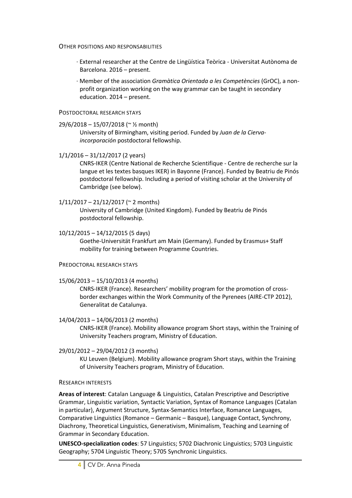OTHER POSITIONS AND RESPONSABILITIES

- · External researcher at the Centre de Lingüística Teòrica Universitat Autònoma de Barcelona. 2016 – present.
- · Member of the association *Gramàtica Orientada a les Competències* (GrOC), a nonprofit organization working on the way grammar can be taught in secondary education. 2014 – present.

### POSTDOCTORAL RESEARCH STAYS

## 29/6/2018 – 15/07/2018 (~ ½ month)

University of Birmingham, visiting period. Funded by *Juan de la Ciervaincorporación* postdoctoral fellowship.

## 1/1/2016 – 31/12/2017 (2 years)

CNRS-IKER (Centre National de Recherche Scientifique - Centre de recherche sur la langue et les textes basques IKER) in Bayonne (France). Funded by Beatriu de Pinós postdoctoral fellowship. Including a period of visiting scholar at the University of Cambridge (see below).

## $1/11/2017 - 21/12/2017$  (~ 2 months)

University of Cambridge (United Kingdom). Funded by Beatriu de Pinós postdoctoral fellowship.

## 10/12/2015 – 14/12/2015 (5 days)

Goethe-Universität Frankfurt am Main (Germany). Funded by Erasmus+ Staff mobility for training between Programme Countries.

#### PREDOCTORAL RESEARCH STAYS

## 15/06/2013 – 15/10/2013 (4 months)

CNRS-IKER (France). Researchers' mobility program for the promotion of crossborder exchanges within the Work Community of the Pyrenees (AIRE-CTP 2012), Generalitat de Catalunya.

## 14/04/2013 – 14/06/2013 (2 months)

CNRS-IKER (France). Mobility allowance program Short stays, within the Training of University Teachers program, Ministry of Education.

## 29/01/2012 – 29/04/2012 (3 months)

KU Leuven (Belgium). Mobility allowance program Short stays, within the Training of University Teachers program, Ministry of Education.

## RESEARCH INTERESTS

**Areas of interest**: Catalan Language & Linguistics, Catalan Prescriptive and Descriptive Grammar, Linguistic variation, Syntactic Variation, Syntax of Romance Languages (Catalan in particular), Argument Structure, Syntax-Semantics Interface, Romance Languages, Comparative Linguistics (Romance – Germanic – Basque), Language Contact, Synchrony, Diachrony, Theoretical Linguistics, Generativism, Minimalism, Teaching and Learning of Grammar in Secondary Education.

**UNESCO-specialization codes**: 57 Linguistics; 5702 Diachronic Linguistics; 5703 Linguistic Geography; 5704 Linguistic Theory; 5705 Synchronic Linguistics.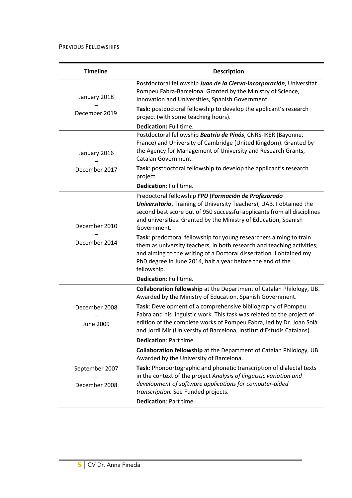PREVIOUS FELLOWSHIPS

| <b>Timeline</b>                   | <b>Description</b>                                                                                                                                                                                                                                                                                |  |  |
|-----------------------------------|---------------------------------------------------------------------------------------------------------------------------------------------------------------------------------------------------------------------------------------------------------------------------------------------------|--|--|
| January 2018                      | Postdoctoral fellowship Juan de la Cierva-incorporación, Universitat<br>Pompeu Fabra-Barcelona. Granted by the Ministry of Science,<br>Innovation and Universities, Spanish Government.                                                                                                           |  |  |
| December 2019                     | Task: postdoctoral fellowship to develop the applicant's research<br>project (with some teaching hours).                                                                                                                                                                                          |  |  |
|                                   | Dedication: Full time.                                                                                                                                                                                                                                                                            |  |  |
| January 2016                      | Postdoctoral fellowship Beatriu de Pinós, CNRS-IKER (Bayonne,<br>France) and University of Cambridge (United Kingdom). Granted by<br>the Agency for Management of University and Research Grants,<br>Catalan Government.                                                                          |  |  |
| December 2017                     | Task: postdoctoral fellowship to develop the applicant's research<br>project.                                                                                                                                                                                                                     |  |  |
|                                   | Dedication: Full time.                                                                                                                                                                                                                                                                            |  |  |
| December 2010                     | Predoctoral fellowship FPU (Formación de Profesorado<br><b>Universitario</b> , Training of University Teachers), UAB. I obtained the<br>second best score out of 950 successful applicants from all disciplines<br>and universities. Granted by the Ministry of Education, Spanish<br>Government. |  |  |
| December 2014                     | Task: predoctoral fellowship for young researchers aiming to train<br>them as university teachers, in both research and teaching activities;<br>and aiming to the writing of a Doctoral dissertation. I obtained my<br>PhD degree in June 2014, half a year before the end of the<br>fellowship.  |  |  |
|                                   | <b>Dedication: Full time.</b>                                                                                                                                                                                                                                                                     |  |  |
|                                   | Collaboration fellowship at the Department of Catalan Philology, UB.<br>Awarded by the Ministry of Education, Spanish Government.                                                                                                                                                                 |  |  |
| December 2008<br><b>June 2009</b> | Task: Development of a comprehensive bibliography of Pompeu<br>Fabra and his linguistic work. This task was related to the project of<br>edition of the complete works of Pompeu Fabra, led by Dr. Joan Solà<br>and Jordi Mir (University of Barcelona, Institut d'Estudis Catalans).             |  |  |
|                                   | Dedication: Part time.                                                                                                                                                                                                                                                                            |  |  |
|                                   | Collaboration fellowship at the Department of Catalan Philology, UB.<br>Awarded by the University of Barcelona.                                                                                                                                                                                   |  |  |
| September 2007                    | Task: Phonoortographic and phonetic transcription of dialectal texts<br>in the context of the project Analysis of linguistic variation and                                                                                                                                                        |  |  |
| December 2008                     | development of software applications for computer-aided<br>transcription. See Funded projects.                                                                                                                                                                                                    |  |  |
|                                   | Dedication: Part time.                                                                                                                                                                                                                                                                            |  |  |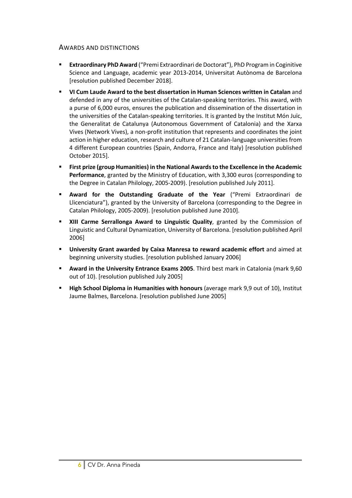# AWARDS AND DISTINCTIONS

- § **Extraordinary PhD Award** ("Premi Extraordinari de Doctorat"), PhD Program in Coginitive Science and Language, academic year 2013-2014, Universitat Autònoma de Barcelona [resolution published December 2018].
- § **VI Cum Laude Award to the best dissertation in Human Sciences written in Catalan** and defended in any of the universities of the Catalan-speaking territories. This award, with a purse of 6,000 euros, ensures the publication and dissemination of the dissertation in the universities of the Catalan-speaking territories. It is granted by the Institut Món Juïc, the Generalitat de Catalunya (Autonomous Government of Catalonia) and the Xarxa Vives (Network Vives), a non-profit institution that represents and coordinates the joint action in higher education, research and culture of 21 Catalan-language universities from 4 different European countries (Spain, Andorra, France and Italy) [resolution published October 2015].
- § **First prize (group Humanities) in the National Awards to the Excellence in the Academic Performance**, granted by the Ministry of Education, with 3,300 euros (corresponding to the Degree in Catalan Philology, 2005-2009). [resolution published July 2011].
- § **Award for the Outstanding Graduate of the Year** ("Premi Extraordinari de Llicenciatura"), granted by the University of Barcelona (corresponding to the Degree in Catalan Philology, 2005-2009). [resolution published June 2010].
- § **XIII Carme Serrallonga Award to Linguistic Quality**, granted by the Commission of Linguistic and Cultural Dynamization, University of Barcelona. [resolution published April 2006]
- § **University Grant awarded by Caixa Manresa to reward academic effort** and aimed at beginning university studies. [resolution published January 2006]
- § **Award in the University Entrance Exams 2005**. Third best mark in Catalonia (mark 9,60 out of 10). [resolution published July 2005]
- § **High School Diploma in Humanities with honours** (average mark 9,9 out of 10), Institut Jaume Balmes, Barcelona. [resolution published June 2005]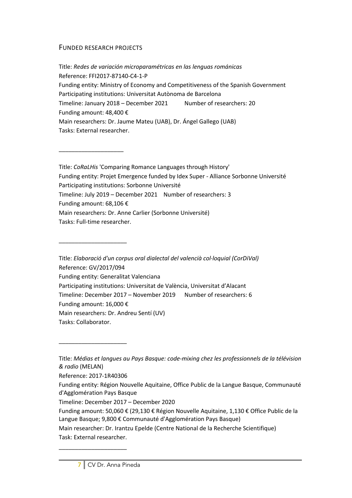## FUNDED RESEARCH PROJECTS

\_\_\_\_\_\_\_\_\_\_\_\_\_\_\_\_\_\_\_\_

\_\_\_\_\_\_\_\_\_\_\_\_\_\_\_\_\_\_\_\_\_

Title: *Redes de variación microparamétricas en las lenguas románicas* Reference: FFI2017-87140-C4-1-P Funding entity: Ministry of Economy and Competitiveness of the Spanish Government Participating institutions: Universitat Autònoma de Barcelona Timeline: January 2018 – December 2021 Number of researchers: 20 Funding amount: 48,400 € Main researchers: Dr. Jaume Mateu (UAB), Dr. Ángel Gallego (UAB) Tasks: External researcher.

Title: *CoRaLHis* 'Comparing Romance Languages through History' Funding entity: Projet Emergence funded by Idex Super - Alliance Sorbonne Université Participating institutions: Sorbonne Université Timeline: July 2019 – December 2021 Number of researchers: 3 Funding amount: 68,106 € Main researchers: Dr. Anne Carlier (Sorbonne Université) Tasks: Full-time researcher.

Title: *Elaboració d'un corpus oral dialectal del valencià col·loquial (CorDiVal)* Reference: GV/2017/094 Funding entity: Generalitat Valenciana Participating institutions: Universitat de València, Universitat d'Alacant Timeline: December 2017 – November 2019 Number of researchers: 6 Funding amount: 16,000 € Main researchers: Dr. Andreu Sentí (UV) Tasks: Collaborator.

Reference: 2017-1R40306

\_\_\_\_\_\_\_\_\_\_\_\_\_\_\_\_\_\_\_\_\_

\_\_\_\_\_\_\_\_\_\_\_\_\_\_\_\_\_\_\_\_\_

Timeline: December 2017 – December 2020

Main researcher: Dr. Irantzu Epelde (Centre National de la Recherche Scientifique) Task: External researcher.

Title: *Médias et langues au Pays Basque: code-mixing chez les professionnels de la télévision & radio* (MELAN)

Funding entity: Région Nouvelle Aquitaine, Office Public de la Langue Basque, Communauté d'Agglomération Pays Basque

Funding amount: 50,060 € (29,130 € Région Nouvelle Aquitaine, 1,130 € Office Public de la Langue Basque; 9,800 € Communauté d'Agglomération Pays Basque)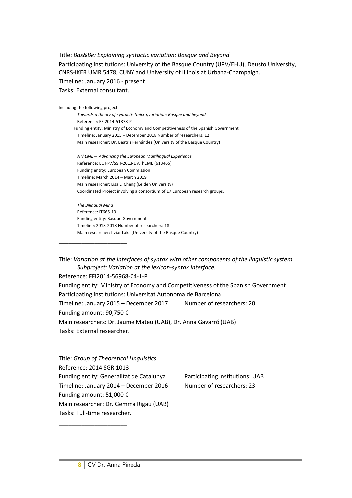Title: *Bas&Be: Explaining syntactic variation: Basque and Beyond* Participating institutions: University of the Basque Country (UPV/EHU), Deusto University, CNRS-IKER UMR 5478, CUNY and University of Illinois at Urbana-Champaign. Timeline: January 2016 - present Tasks: External consultant.

Including the following projects: *Towards a theory of syntactic (micro)variation: Basque and beyond* Reference: FFI2014-51878-P Funding entity: Ministry of Economy and Competitiveness of the Spanish Government Timeline: January 2015 – December 2018 Number of researchers: 12 Main researcher: Dr. Beatriz Fernández (University of the Basque Country) *AThEME— Advancing the European Multilingual Experience* Reference: EC FP7/SSH-2013-1 AThEME (613465) Funding entity: European Commission Timeline: March 2014 – March 2019 Main researcher: Lisa L. Cheng (Leiden University) Coordinated Project involving a consortium of 17 European research groups.

*The Bilingual Mind* Reference: IT665-13 Funding entity: Basque Government Timeline: 2013-2018 Number of researchers: 18 Main researcher: Itziar Laka (University of the Basque Country)

\_\_\_\_\_\_\_\_\_\_\_\_\_\_\_\_\_\_\_\_\_

\_\_\_\_\_\_\_\_\_\_\_\_\_\_\_\_\_\_\_\_\_

\_\_\_\_\_\_\_\_\_\_\_\_\_\_\_\_\_\_\_\_\_

Title: *Variation at the interfaces of syntax with other components of the linguistic system. Subproject: Variation at the lexicon-syntax interface.*

Reference: FFI2014-56968-C4-1-P Funding entity: Ministry of Economy and Competitiveness of the Spanish Government Participating institutions: Universitat Autònoma de Barcelona Timeline: January 2015 – December 2017 Number of researchers: 20 Funding amount: 90,750 € Main researchers: Dr. Jaume Mateu (UAB), Dr. Anna Gavarró (UAB) Tasks: External researcher.

Title: *Group of Theoretical Linguistics*  Reference: 2014 SGR 1013 Funding entity: Generalitat de Catalunya Participating institutions: UAB Timeline: January 2014 – December 2016 Number of researchers: 23 Funding amount: 51,000 € Main researcher: Dr. Gemma Rigau (UAB) Tasks: Full-time researcher.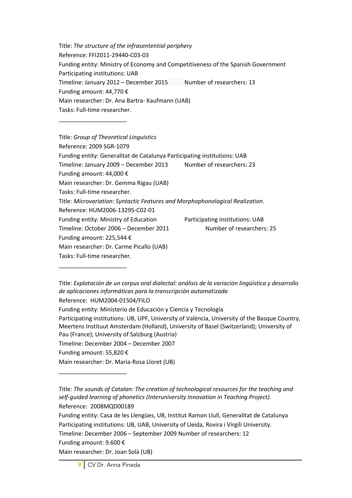Title: *The structure of the infrasentential periphery* Reference: FFI2011-29440-C03-03 Funding entity: Ministry of Economy and Competitiveness of the Spanish Government Participating institutions: UAB Timeline: January 2012 – December 2015 Number of researchers: 13 Funding amount: 44,770 € Main researcher: Dr. Ana Bartra- Kaufmann (UAB) Tasks: Full-time researcher. \_\_\_\_\_\_\_\_\_\_\_\_\_\_\_\_\_\_\_\_\_

Title: *Group of Theoretical Linguistics* Reference: 2009 SGR-1079 Funding entity: Generalitat de Catalunya Participating institutions: UAB Timeline: January 2009 – December 2013 Number of researchers: 23 Funding amount: 44,000 € Main researcher: Dr. Gemma Rigau (UAB) Tasks: Full-time researcher. Title: *Microvariation: Syntactic Features and Morphophonological Realization*. Reference: HUM2006-13295-C02-01 Funding entity: Ministry of Education Participating institutions: UAB Timeline: October 2006 – December 2011 Number of researchers: 25 Funding amount: 225,544 € Main researcher: Dr. Carme Picallo (UAB) Tasks: Full-time researcher.

Title: *Explotación de un corpus oral dialectal: análisis de la variación lingüística y desarrollo de aplicaciones informáticas para la transcripción automatizada* Reference: HUM2004-01504/FILO

Funding entity: Ministerio de Educación y Ciencia y Tecnología

Participating institutions: UB, UPF, University of València, University of the Basque Country, Meertens Instituut Amsterdam (Holland), University of Basel (Switzerland); University of Pau (France); University of Salzburg (Austria)

Timeline: December 2004 – December 2007

Funding amount: 55,820 €

\_\_\_\_\_\_\_\_\_\_\_\_\_\_\_\_\_\_\_\_\_

\_\_\_\_\_\_\_\_\_\_\_\_\_\_\_\_\_\_\_\_\_

Main researcher: Dr. Maria-Rosa Lloret (UB)

Title: *The sounds of Catalan: The creation of technological resources for the teaching and self-guided learning of phonetics (Interuniversity Innovation in Teaching Project).* Reference: 2008MQD00189

Funding entity: Casa de les Llengües, UB, Institut Ramon Llull, Generalitat de Catalunya Participating institutions: UB, UAB, University of Lleida, Rovira i Virgili University.

Timeline: December 2006 – September 2009 Number of researchers: 12

Funding amount: 9.600 €

Main researcher: Dr. Joan Solà (UB)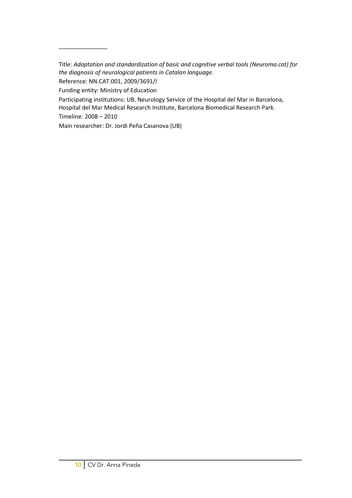Title: *Adaptation and standardization of basic and cognitive verbal tools (Neuroma.cat) for the diagnosis of neurological patients in Catalan language.* 

Participating institutions: UB, Neurology Service of the Hospital del Mar in Barcelona,

Hospital del Mar Medical Research Institute, Barcelona Biomedical Research Park.

Timeline: 2008 – 2010

\_\_\_\_\_\_\_\_\_\_\_\_\_\_\_

Main researcher: Dr. Jordi Peña Casanova (UB)

Reference: NN.CAT.001, 2009/3691/I

Funding entity: Ministry of Education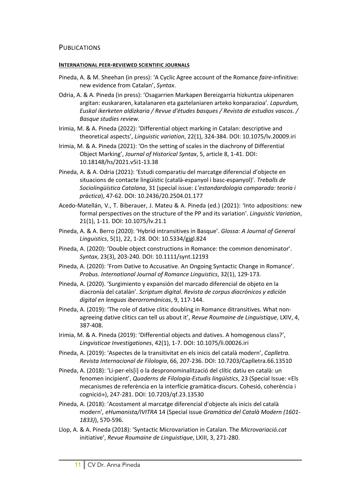# PUBLICATIONS

#### **INTERNATIONAL PEER-REVIEWED SCIENTIFIC JOURNALS**

- Pineda, A. & M. Sheehan (in press): 'A Cyclic Agree account of the Romance *faire*-infinitive: new evidence from Catalan', *Syntax*.
- Odria, A. & A. Pineda (in press): 'Osagarrien Markapen Bereizgarria hizkuntza ukipenaren argitan: euskararen, katalanaren eta gaztelaniaren arteko konparazioa'*. Lapurdum, Euskal ikerketen aldizkaria / Revue d'études basques / Revista de estudios vascos. / Basque studies review.*
- Irimia, M. & A. Pineda (2022): 'Differential object marking in Catalan: descriptive and theoretical aspects', *Linguistic variation*, 22(1), 324-384. DOI: 10.1075/lv.20009.iri
- Irimia, M. & A. Pineda (2021): 'On the setting of scales in the diachrony of Differential Object Marking', *Journal of Historical Syntax*, 5, article 8, 1-41. DOI: 10.18148/hs/2021.v5i1-13.38
- Pineda, A. & A. Odria (2021): 'Estudi comparatiu del marcatge diferencial d'objecte en situacions de contacte lingüístic (català-espanyol i basc-espanyol)'*. Treballs de Sociolingüística Catalana*, 31 (special issue: *L'estandardologia comparada: teoria i pràctica*), 47-62. DOI: 10.2436/20.2504.01.177
- Acedo-Matellán, V., T. Biberauer, J. Mateu & A. Pineda (ed.) (2021): 'Into adpositions: new formal perspectives on the structure of the PP and its variation'. *Linguistic Variation*, 21(1), 1-11. DOI: 10.1075/lv.21.1
- Pineda, A. & A. Berro (2020): 'Hybrid intransitives in Basque'. *Glossa: A Journal of General Linguistics*, 5(1), 22, 1-28. DOI: 10.5334/gjgl.824
- Pineda, A. (2020): 'Double object constructions in Romance: the common denominator'. *Syntax*, 23(3), 203-240*.* DOI: 10.1111/synt.12193
- Pineda, A. (2020): 'From Dative to Accusative. An Ongoing Syntactic Change in Romance'. *Probus. International Journal of Romance Linguistics*, 32(1), 129-173.
- Pineda, A. (2020). 'Surgimiento y expansión del marcado diferencial de objeto en la diacronía del catalán'. *Scriptum digital. Revista de corpus diacrónicos y edición digital en lenguas iberorrománicas*, 9, 117-144.
- Pineda, A. (2019): 'The role of dative clitic doubling in Romance ditransitives. What nonagreeing dative clitics can tell us about it', *Revue Roumaine de Linguistique*, LXIV, 4, 387-408.
- Irimia, M. & A. Pineda (2019): 'Differential objects and datives. A homogenous class?', *Lingvisticae Investigationes*, 42(1), 1-7. DOI: 10.1075/li.00026.iri
- Pineda, A. (2019): 'Aspectes de la transitivitat en els inicis del català modern', *Caplletra. Revista Internacional de Filologia*, 66, 207-236. DOI: 10.7203/Caplletra.66.13510
- Pineda, A. (2018): 'Li-per-els[i] o la despronominalització del clític datiu en català: un fenomen incipient', *Quaderns de Filologia-Estudis lingüístics*, 23 (Special Issue: «Els mecanismes de referència en la interfície gramàtica-discurs. Cohesió, coherència i cognició»), 247-281. DOI: 10.7203/qf.23.13530
- Pineda, A. (2018): 'Acostament al marcatge diferencial d'objecte als inicis del català modern'*, eHumanista/IVITRA* 14 (Special issue *Gramàtica del Català Modern (1601- 1833)*), 570-596.
- Llop, A. & A. Pineda (2018): 'Syntactic Microvariation in Catalan. The *Microvariació.cat* initiative', *Revue Roumaine de Linguistique*, LXIII, 3, 271-280.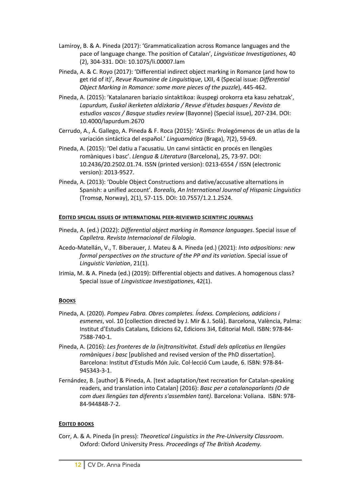- Lamiroy, B. & A. Pineda (2017): 'Grammaticalization across Romance languages and the pace of language change. The position of Catalan', *Lingvisticae Investigationes*, 40 (2), 304-331. DOI: 10.1075/li.00007.lam
- Pineda, A. & C. Royo (2017): 'Differential indirect object marking in Romance (and how to get rid of it)', *Revue Roumaine de Linguistique*, LXII, 4 (Special issue: *Differential Object Marking in Romance: some more pieces of the puzzle*), 445-462.
- Pineda, A. (2015): 'Katalanaren bariazio sintaktikoa: ikuspegi orokorra eta kasu zehatzak', *Lapurdum, Euskal ikerketen aldizkaria / Revue d'études basques / Revista de estudios vascos / Basque studies review* (Bayonne) (Special issue), 207-234. DOI: 10.4000/lapurdum.2670
- Cerrudo, A., Á. Gallego, A. Pineda & F. Roca (2015): 'ASinEs: Prolegómenos de un atlas de la variación sintáctica del español.' *Linguamática* (Braga), 7(2), 59-69.
- Pineda, A. (2015): 'Del datiu a l'acusatiu. Un canvi sintàctic en procés en llengües romàniques i basc'. *Llengua & Literatura* (Barcelona), 25, 73-97. DOI: 10.2436/20.2502.01.74. ISSN (printed version): 0213-6554 / ISSN (electronic version): 2013-9527.
- Pineda, A. (2013): 'Double Object Constructions and dative/accusative alternations in Spanish: a unified account'. *Borealis, An International Journal of Hispanic Linguistics* (Tromsø, Norway), 2(1), 57-115. DOI: 10.7557/1.2.1.2524.

## **EDITED SPECIAL ISSUES OF INTERNATIONAL PEER-REVIEWED SCIENTIFIC JOURNALS**

- Pineda, A. (ed.) (2022): *Differential object marking in Romance languages*. Special issue of *Caplletra. Revista Internacional de Filologia*.
- Acedo-Matellán, V., T. Biberauer, J. Mateu & A. Pineda (ed.) (2021): *Into adpositions: new formal perspectives on the structure of the PP and its variation*. Special issue of *Linguistic Variation*, 21(1).
- Irimia, M. & A. Pineda (ed.) (2019): Differential objects and datives. A homogenous class? Special issue of *Lingvisticae Investigationes*, 42(1).

## **BOOKS**

- Pineda, A. (2020). *Pompeu Fabra. Obres completes. Índexs. Complecions, addicions i esmenes*, vol. 10 [collection directed by J. Mir & J. Solà]. Barcelona, València, Palma: Institut d'Estudis Catalans, Edicions 62, Edicions 3i4, Editorial Moll. ISBN: 978-84- 7588-740-1.
- Pineda, A. (2016): *Les fronteres de la (in)transitivitat. Estudi dels aplicatius en llengües romàniques i basc* [published and revised version of the PhD dissertation]. Barcelona: Institut d'Estudis Món Juïc. Col·lecció Cum Laude, 6. ISBN: 978-84- 945343-3-1.
- Fernández, B. [author] & Pineda, A. [text adaptation/text recreation for Catalan-speaking readers, and translation into Catalan] (2016): *Basc per a catalanoparlants (O de com dues llengües tan diferents s'assemblen tant)*. Barcelona: Voliana. ISBN: 978- 84-944848-7-2.

## **EDITED BOOKS**

Corr, A. & A. Pineda (in press): *Theoretical Linguistics in the Pre-University Classroom*. Oxford: Oxford University Press. *Proceedings of The British Academy.*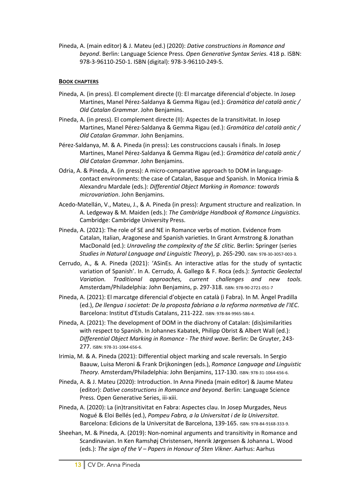Pineda, A. (main editor) & J. Mateu (ed.) (2020): *Dative constructions in Romance and beyond*. Berlin: Language Science Press. *Open Generative Syntax Series.* 418 p. ISBN: 978-3-96110-250-1. ISBN (digital): 978-3-96110-249-5.

# **BOOK CHAPTERS**

- Pineda, A. (in press). El complement directe (I): El marcatge diferencial d'objecte. In Josep Martines, Manel Pérez-Saldanya & Gemma Rigau (ed.): *Gramàtica del català antic / Old Catalan Grammar*. John Benjamins.
- Pineda, A. (in press). El complement directe (II): Aspectes de la transitivitat. In Josep Martines, Manel Pérez-Saldanya & Gemma Rigau (ed.): *Gramàtica del català antic / Old Catalan Grammar*. John Benjamins.
- Pérez-Saldanya, M. & A. Pineda (in press): Les construccions causals i finals. In Josep Martines, Manel Pérez-Saldanya & Gemma Rigau (ed.): *Gramàtica del català antic / Old Catalan Grammar*. John Benjamins.
- Odria, A. & Pineda, A. (in press): A micro-comparative approach to DOM in languagecontact environments: the case of Catalan, Basque and Spanish. In Monica Irimia & Alexandru Mardale (eds.): *Differential Object Marking in Romance: towards microvariation*. John Benjamins.
- Acedo-Matellán, V., Mateu, J., & A. Pineda (in press): Argument structure and realization. In A. Ledgeway & M. Maiden (eds.): *The Cambridge Handbook of Romance Linguistics*. Cambridge: Cambridge University Press.
- Pineda, A. (2021): The role of SE and NE in Romance verbs of motion. Evidence from Catalan, Italian, Aragonese and Spanish varieties. In Grant Armstrong & Jonathan MacDonald (ed.): *Unraveling the complexity of the SE clitic.* Berlin: Springer (series *Studies in Natural Language and Linguistic Theory*), p. 265-290. ISBN: 978-30-3057-003-3.
- Cerrudo, A., & A. Pineda (2021): 'ASinEs. An interactive atlas for the study of syntactic variation of Spanish'. In A. Cerrudo, Á. Gallego & F. Roca (eds.): *Syntactic Geolectal Variation. Traditional approaches, current challenges and new tools.* Amsterdam/Philadelphia: John Benjamins, p. 297-318. ISBN: 978-90-2721-051-7
- Pineda, A. (2021): El marcatge diferencial d'objecte en català (i Fabra). In M. Àngel Pradilla (ed.), *De llengua i societat: De la proposta fabriana a la reforma normativa de l'IEC*. Barcelona: Institut d'Estudis Catalans, 211-222. ISBN: 978-84-9965-586-4.
- Pineda, A. (2021): The development of DOM in the diachrony of Catalan: (dis)similarities with respect to Spanish. In Johannes Kabatek, Philipp Obrist & Albert Wall (ed.): *Differential Object Marking in Romance - The third wave*. Berlin: De Gruyter, 243- 277. ISBN: 978-31-1064-656-6.
- Irimia, M. & A. Pineda (2021): Differential object marking and scale reversals. In Sergio Baauw, Luisa Meroni & Frank Drijkoningen (eds.), *Romance Language and Linguistic Theory.* Amsterdam/Philadelphia: John Benjamins, 117-130. ISBN: 978-31-1064-656-6.
- Pineda, A. & J. Mateu (2020): Introduction. In Anna Pineda (main editor) & Jaume Mateu (editor): *Dative constructions in Romance and beyond*. Berlin: Language Science Press. Open Generative Series, iii-xiii.
- Pineda, A. (2020): La (in)transitivitat en Fabra: Aspectes clau. In Josep Murgades, Neus Nogué & Eloi Bellés (ed.), *Pompeu Fabra, a la Universitat i de la Universitat*. Barcelona: Edicions de la Universitat de Barcelona, 139-165. ISBN: 978-84-9168-333-9.
- Sheehan, M. & Pineda, A. (2019): Non-nominal arguments and transitivity in Romance and Scandinavian. In Ken Ramshøj Christensen, Henrik Jørgensen & Johanna L. Wood (eds.): *The sign of the V – Papers in Honour of Sten Vikner*. Aarhus: Aarhus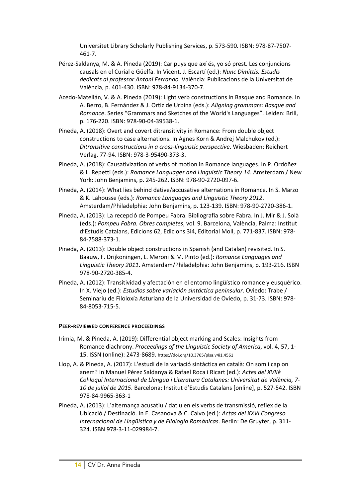Universitet Library Scholarly Publishing Services, p. 573-590*.* ISBN: 978-87-7507- 461-7.

- Pérez-Saldanya, M. & A. Pineda (2019): Car puys que axí és, yo só prest. Les conjuncions causals en el Curial e Güelfa. In Vicent. J. Escartí (ed.): *Nunc Dimittis. Estudis dedicats al professor Antoni Ferrando.* València: Publicacions de la Universitat de València, p. 401-430. ISBN: 978-84-9134-370-7.
- Acedo-Matellán, V. & A. Pineda (2019): Light verb constructions in Basque and Romance. In A. Berro, B. Fernández & J. Ortiz de Urbina (eds.): *Aligning grammars: Basque and Romance*. Series "Grammars and Sketches of the World's Languages". Leiden: Brill, p. 176-220. ISBN: 978-90-04-39538-1.
- Pineda, A. (2018): Overt and covert ditransitivity in Romance: From double object constructions to case alternations. In Agnes Korn & Andrej Malchukov (ed.): *Ditransitive constructions in a cross-linguistic perspective*. Wiesbaden: Reichert Verlag, 77-94. ISBN: 978-3-95490-373-3.
- Pineda, A. (2018): Causativization of verbs of motion in Romance languages. In P. Ordóñez & L. Repetti (eds.): *Romance Languages and Linguistic Theory 14*. Amsterdam / New York: John Benjamins, p. 245-262. ISBN: 978-90-2720-097-6.
- Pineda, A. (2014): What lies behind dative/accusative alternations in Romance. In S. Marzo & K. Lahousse (eds.): *Romance Languages and Linguistic Theory 2012*. Amsterdam/Philadelphia: John Benjamins, p. 123-139. ISBN: 978-90-2720-386-1.
- Pineda, A. (2013): La recepció de Pompeu Fabra. Bibliografia sobre Fabra. In J. Mir & J. Solà (eds.): *Pompeu Fabra. Obres completes*, vol. 9. Barcelona, València, Palma: Institut d'Estudis Catalans, Edicions 62, Edicions 3i4, Editorial Moll, p. 771-837. ISBN: 978- 84-7588-373-1.
- Pineda, A. (2013): Double object constructions in Spanish (and Catalan) revisited. In S. Baauw, F. Drijkoningen, L. Meroni & M. Pinto (ed.): *Romance Languages and Linguistic Theory 2011*. Amsterdam/Philadelphia: John Benjamins, p. 193-216. ISBN 978-90-2720-385-4.
- Pineda, A. (2012): Transitividad y afectación en el entorno lingüístico romance y eusquérico. In X. Viejo (ed.): *Estudios sobre variación sintáctica peninsular*. Oviedo: Trabe / Seminariu de Filoloxía Asturiana de la Universidad de Oviedo, p. 31-73. ISBN: 978- 84-8053-715-5.

## **PEER-REVIEWED CONFERENCE PROCEEDINGS**

- Irimia, M. & Pineda, A. (2019): Differential object marking and Scales: Insights from Romance diachrony. *Proceedings of the Linguistic Society of America*, vol. 4, 57, 1- 15. ISSN (online): 2473-8689. https://doi.org/10.3765/plsa.v4i1.4561
- Llop, A. & Pineda, A. (2017): L'estudi de la variació sintàctica en català: On som i cap on anem? In Manuel Pérez Saldanya & Rafael Roca i Ricart (ed.): *Actes del XVIIè Col·loqui Internacional de Llengua i Literatura Catalanes: Universitat de València, 7- 10 de juliol de 2015*. Barcelona: Institut d'Estudis Catalans [online], p. 527-542. ISBN 978-84-9965-363-1
- Pineda, A. (2013): L'alternança acusatiu / datiu en els verbs de transmissió, reflex de la Ubicació / Destinació. In E. Casanova & C. Calvo (ed.): *Actas del XXVI Congreso Internacional de Lingüística y de Filología Románicas*. Berlin: De Gruyter, p. 311- 324. ISBN 978-3-11-029984-7.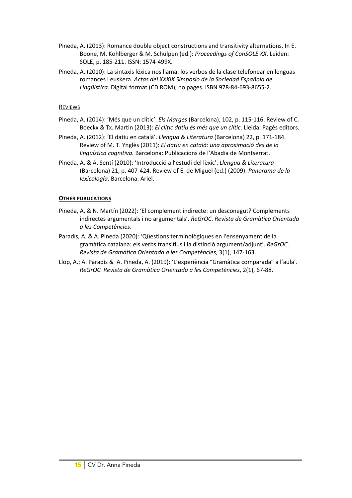- Pineda, A. (2013): Romance double object constructions and transitivity alternations. In E. Boone, M. Kohlberger & M. Schulpen (ed.): *Proceedings of ConSOLE XX*. Leiden: SOLE, p. 185-211. ISSN: 1574-499X.
- Pineda, A. (2010): La sintaxis léxica nos llama: los verbos de la clase telefonear en lenguas romances i euskera. *Actas del XXXIX Simposio de la Sociedad Española de Lingüística*. Digital format (CD ROM), no pages. ISBN 978-84-693-8655-2.

### REVIEWS

- Pineda, A. (2014): 'Més que un clític'. *Els Marges* (Barcelona), 102, p. 115-116. Review of C. Boeckx & Tx. Martin (2013): *El clític datiu és més que un clític*. Lleida: Pagès editors.
- Pineda, A. (2012): 'El datiu en català'. *Llengua & Literatura* (Barcelona) 22, p. 171-184. Review of M. T. Ynglès (2011): *El datiu en català: una aproximació des de la lingüística cognitiva*. Barcelona: Publicacions de l'Abadia de Montserrat.
- Pineda, A. & A. Sentí (2010): 'Introducció a l'estudi del lèxic'. *Llengua & Literatura* (Barcelona) 21, p. 407-424. Review of E. de Miguel (ed.) (2009): *Panorama de la lexicología*. Barcelona: Ariel.

### **OTHER PUBLICATIONS**

- Pineda, A. & N. Martín (2022): 'El complement indirecte: un desconegut? Complements indirectes argumentals i no argumentals'. *ReGrOC*. *Revista de Gramàtica Orientada a les Competències*.
- Paradís, A. & A. Pineda (2020): 'Qüestions terminològiques en l'ensenyament de la gramàtica catalana: els verbs transitius i la distinció argument/adjunt'. *ReGrOC*. *Revista de Gramàtica Orientada a les Competències*, 3(1), 147-163.
- Llop, A.; A. Paradís & A. Pineda, A. (2019): 'L'experiència "Gramàtica comparada" a l'aula'. *ReGrOC. Revista de Gramàtica Orientada a les Competències*, 2(1), 67-88.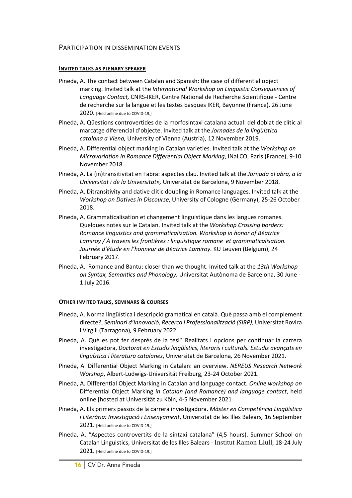## PARTICIPATION IN DISSEMINATION EVENTS

#### **INVITED TALKS AS PLENARY SPEAKER**

- Pineda, A. The contact between Catalan and Spanish: the case of differential object marking. Invited talk at the *International Workshop on Linguistic Consequences of Language Contact,* CNRS-IKER, Centre National de Recherche Scientifique - Centre de recherche sur la langue et les textes basques IKER, Bayonne (France), 26 June 2020. [Held online due to COVID-19.]
- Pineda, A. Qüestions controvertides de la morfosintaxi catalana actual: del doblat de clític al marcatge diferencial d'objecte. Invited talk at the *Jornades de la lingüística catalana a Viena,* University of Vienna (Austria), 12 November 2019.
- Pineda, A. Differential object marking in Catalan varieties. Invited talk at the *Workshop on Microvariation in Romance Differential Object Marking*, INaLCO, Paris (France), 9-10 November 2018.
- Pineda, A. La (in)transitivitat en Fabra: aspectes clau. Invited talk at the *Jornada «Fabra, a la Universitat i de la Universitat»,* Universitat de Barcelona, 9 November 2018.
- Pineda, A. Ditransitivity and dative clitic doubling in Romance languages. Invited talk at the *Workshop on Datives in Discourse*, University of Cologne (Germany), 25-26 October 2018.
- Pineda, A. Grammaticalisation et changement linguistique dans les langues romanes. Quelques notes sur le Catalan. Invited talk at the *Workshop Crossing borders: Romance linguistics and grammaticalization. Workshop in honor of Béatrice Lamiroy / À travers les frontières : linguistique romane et grammaticalisation. Journée d'étude en l'honneur de Béatrice Lamiroy*. KU Leuven (Belgium), 24 February 2017.
- Pineda, A. Romance and Bantu: closer than we thought. Invited talk at the *13th Workshop on Syntax, Semantics and Phonology.* Universitat Autònoma de Barcelona, 30 June - 1 July 2016.

#### **OTHER INVITED TALKS, SEMINARS & COURSES**

- Pineda, A. Norma lingüística i descripció gramatical en català. Què passa amb el complement directe?, *Seminari d'Innovació, Recerca i Professionalització (SIRP)*, Universitat Rovira i Virgili (Tarragona)*,* 9 February 2022.
- Pineda, A. Què es pot fer després de la tesi? Realitats i opcions per continuar la carrera investigadora, *Doctorat en Estudis lingüístics, literaris i culturals. Estudis avançats en lingüística i literatura catalanes*, Universitat de Barcelona*,* 26 November 2021.
- Pineda, A. Differential Object Marking in Catalan: an overview. *NEREUS Research Network Worshop*, Albert-Ludwigs-Universität Freiburg, 23-24 October 2021.
- Pineda, A. Differential Object Marking in Catalan and language contact. *Online workshop on*  Differential Object Marking *in Catalan (and Romance) and language contact*, held online [hosted at Universität zu Köln, 4-5 November 2021
- Pineda, A. Els primers passos de la carrera investigadora. *Màster en Competència Lingüística i Literària: Investigació i Ensenyament*, Universitat de les Illes Balears*,* 16 September 2021. [Held online due to COVID-19.]
- Pineda, A. "Aspectes controvertits de la sintaxi catalana" (4,5 hours). Summer School on Catalan Linguistics, Universitat de les Illes Balears - Institut Ramon Llull, 18-24 July 2021. [Held online due to COVID-19.]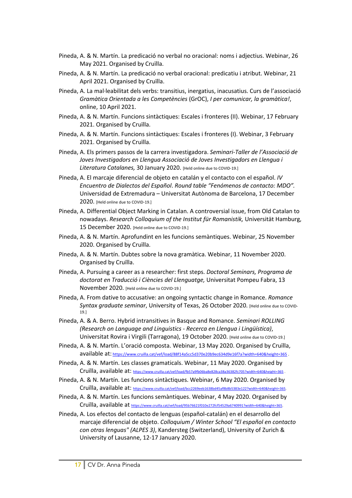- Pineda, A. & N. Martín. La predicació no verbal no oracional: noms i adjectius. Webinar, 26 May 2021. Organised by Cruïlla.
- Pineda, A. & N. Martín. La predicació no verbal oracional: predicatiu i atribut. Webinar, 21 April 2021. Organised by Cruïlla.
- Pineda, A. La mal·leabilitat dels verbs: transitius, inergatius, inacusatius. Curs de l'associació *Gramàtica Orientada a les Competències* (GrOC), *I per comunicar, la gramàtica!*, online, 10 April 2021.
- Pineda, A. & N. Martín. Funcions sintàctiques: Escales i fronteres (II). Webinar, 17 February 2021. Organised by Cruïlla.
- Pineda, A. & N. Martín. Funcions sintàctiques: Escales i fronteres (I). Webinar, 3 February 2021. Organised by Cruïlla.
- Pineda, A. Els primers passos de la carrera investigadora. *Seminari-Taller de l'Associació de Joves Investigadors en Llengua Associació de Joves Investigadors en Llengua i Literatura Catalanes,* 30 January 2020. [Held online due to COVID-19.]
- Pineda, A. El marcaje diferencial de objeto en catalán y el contacto con el español. *IV Encuentro de Dialectos del Español*. *Round table "Fenómenos de contacto: MDO".* Universidad de Extremadura – Universitat Autònoma de Barcelona, 17 December 2020. [Held online due to COVID-19.]
- Pineda, A. Differential Object Marking in Catalan. A controversial issue, from Old Catalan to nowadays. *Research Colloquium of the Institut für Romanistik,* Universität Hamburg, 15 December 2020. [Held online due to COVID-19.]
- Pineda, A. & N. Martín. Aprofundint en les funcions semàntiques. Webinar, 25 November 2020. Organised by Cruïlla.
- Pineda, A. & N. Martín. Dubtes sobre la nova gramàtica. Webinar, 11 November 2020. Organised by Cruïlla.
- Pineda, A. Pursuing a career as a researcher: first steps. *Doctoral Seminars, Programa de doctorat en Traducció i Ciències del Llenguatge,* Universitat Pompeu Fabra, 13 November 2020. [Held online due to COVID-19.]
- Pineda, A. From dative to accusative: an ongoing syntactic change in Romance. *Romance Syntax graduate seminar*, University of Texas, 26 October 2020. [Held online due to COVID-19.]
- Pineda, A. & A. Berro. Hybrid intransitives in Basque and Romance. *Seminari ROLLING (Research on Language and Linguistics - Recerca en Llengua i Lingüística)*, Universitat Rovira i Virgili (Tarragona), 19 October 2020. [Held online due to COVID-19.]
- Pineda, A. & N. Martín. L'oració composta. Webinar, 13 May 2020. Organised by Cruïlla, available at: https://www.cruilla.cat/vef/load/88f14a5cc5d370e20b9ec634d9e16f7a?width=640&height=365 .
- Pineda, A. & N. Martín. Les classes gramaticals. Webinar, 11 May 2020. Organised by Cruïlla, available at: https://www.cruilla.cat/vef/load/fb57a9fb06ba8e828ca38a36382fc705?width=640&height=365.
- Pineda, A. & N. Martín. Les funcions sintàctiques. Webinar, 6 May 2020. Organised by Cruïlla, available at: https://www.cruilla.cat/vef/load/bcc2269eeb1638bd45af8b8b5383e122?width=640&height=365.
- Pineda, A. & N. Martín. Les funcions semàntiques. Webinar, 4 May 2020. Organised by Cruïlla, available at https://www.cruilla.cat/vef/load/95b76621f010e272fcf54529a6740991?width=640&height=365.
- Pineda, A. Los efectos del contacto de lenguas (español-catalán) en el desarrollo del marcaje diferencial de objeto. *Colloquium / Winter School "El español en contacto con otras lenguas" (ALPES 3)*, Kandersteg (Switzerland), University of Zurich & University of Lausanne, 12-17 January 2020.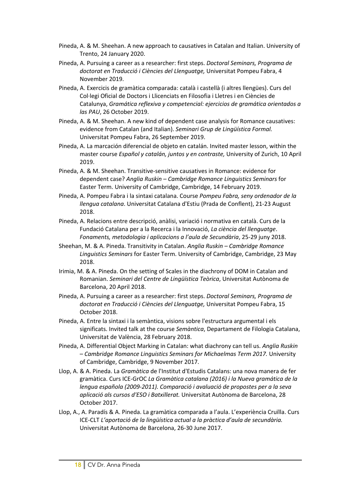- Pineda, A. & M. Sheehan. A new approach to causatives in Catalan and Italian. University of Trento, 24 January 2020.
- Pineda, A. Pursuing a career as a researcher: first steps. *Doctoral Seminars, Programa de doctorat en Traducció i Ciències del Llenguatge,* Universitat Pompeu Fabra, 4 November 2019.
- Pineda, A. Exercicis de gramàtica comparada: català i castellà (i altres llengües). Curs del Col·legi Oficial de Doctors i Llicenciats en Filosofia i Lletres i en Ciències de Catalunya, *Gramática reflexiva y competencial: ejercicios de gramática orientados a las PAU*, 26 October 2019.
- Pineda, A. & M. Sheehan. A new kind of dependent case analysis for Romance causatives: evidence from Catalan (and Italian). *Seminari Grup de Lingüística Formal.* Universitat Pompeu Fabra, 26 September 2019.
- Pineda, A. La marcación diferencial de objeto en catalán. Invited master lesson, within the master course *Español y catalán, juntos y en contraste,* University of Zurich, 10 April 2019.
- Pineda, A. & M. Sheehan. Transitive-sensitive causatives in Romance: evidence for dependent case? *Anglia Ruskin – Cambridge Romance Linguistics Seminars* for Easter Term. University of Cambridge, Cambridge, 14 February 2019.
- Pineda, A. Pompeu Fabra i la sintaxi catalana. Course *Pompeu Fabra, seny ordenador de la llengua catalana*. Universitat Catalana d'Estiu (Prada de Conflent), 21-23 August 2018.
- Pineda, A. Relacions entre descripció, anàlisi, variació i normativa en català. Curs de la Fundació Catalana per a la Recerca i la Innovació, *La ciència del llenguatge*. *Fonaments, metodologia i aplicacions a l'aula de Secundària*, 25-29 juny 2018.
- Sheehan, M. & A. Pineda. Transitivity in Catalan. *Anglia Ruskin – Cambridge Romance Linguistics Seminars* for Easter Term. University of Cambridge, Cambridge, 23 May 2018.
- Irimia, M. & A. Pineda. On the setting of Scales in the diachrony of DOM in Catalan and Romanian. *Seminari del Centre de Lingüística Teòrica*, Universitat Autònoma de Barcelona, 20 April 2018.
- Pineda, A. Pursuing a career as a researcher: first steps. *Doctoral Seminars, Programa de doctorat en Traducció i Ciències del Llenguatge,* Universitat Pompeu Fabra, 15 October 2018.
- Pineda, A. Entre la sintaxi i la semàntica, visions sobre l'estructura argumental i els significats. Invited talk at the course *Semàntica*, Departament de Filologia Catalana, Universitat de València, 28 February 2018.
- Pineda, A. Differential Object Marking in Catalan: what diachrony can tell us. *Anglia Ruskin – Cambridge Romance Linguistics Seminars for Michaelmas Term 2017.* University of Cambridge, Cambridge, 9 November 2017.
- Llop, A. & A. Pineda. La *Gramàtica* de l'Institut d'Estudis Catalans: una nova manera de fer gramàtica. Curs ICE-GrOC *La Gramàtica catalana (2016) i la Nueva gramática de la lengua española (2009-2011). Comparació i avaluació de propostes per a la seva aplicació als cursos d'ESO i Batxillerat.* Universitat Autònoma de Barcelona, 28 October 2017.
- Llop, A., A. Paradís & A. Pineda. La gramàtica comparada a l'aula. L'experiència Cruïlla. Curs ICE-CLT *L'aportació de la lingüística actual a la pràctica d'aula de secundària.*  Universitat Autònoma de Barcelona, 26-30 June 2017.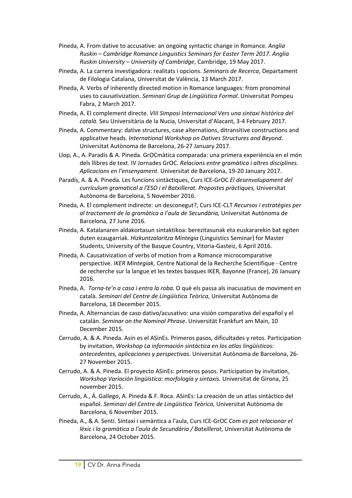- Pineda, A. From dative to accusative: an ongoing syntactic change in Romance. *Anglia Ruskin – Cambridge Romance Linguistics Seminars for Easter Term 2017. Anglia Ruskin University – University of Cambridge*, Cambridge, 19 May 2017.
- Pineda, A. La carrera investigadora: realitats i opcions. *Seminaris de Recerca*, Departament de Filologia Catalana, Universitat de València, 13 March 2017.
- Pineda, A. Verbs of inherently directed motion in Romance languages: from pronominal uses to causativization. *Seminari Grup de Lingüística Formal.* Universitat Pompeu Fabra, 2 March 2017.
- Pineda, A. El complement directe. *VIII Simposi Internacional Vers una sintaxi històrica del català.* Seu Universitària de la Nucia, Universitat d'Alacant, 3-4 February 2017.
- Pineda, A. Commentary: dative structures, case alternations, ditransitive constructions and applicative heads. *International Workshop on Datives Structures and Beyond*. Universitat Autònoma de Barcelona, 26-27 January 2017.
- Llop, A., A. Paradís & A. Pineda. GrOCmàtica comparada: una primera experiència en el món dels llibres de text. IV Jornades GrOC. *Relacions entre gramàtica i altres disciplines. Aplicacions en l'ensenyament*. Universitat de Barcelona, 19-20 January 2017.
- Paradís, A. & A. Pineda. Les funcions sintàctiques, Curs ICE-GrOC *El desenvolupament del currículum gramatical a l'ESO i el Batxillerat. Propostes pràctiques,* Universitat Autònoma de Barcelona, 5 November 2016.
- Pineda, A. El complement indirecte: un desconegut?, Curs ICE-CLT *Recursos i estratègies per al tractament de la gramàtica a l'aula de Secundària,* Universitat Autònoma de Barcelona, 27 June 2016.
- Pineda, A. Katalanaren aldakortasun sintaktikoa: berezitasunak eta euskararekin bat egiten duten ezaugarriak. *Hizkuntzalaritza Mintegia* (Linguistics Seminar) for Master Students, University of the Basque Country, Vitoria-Gasteiz, 6 April 2016.
- Pineda, A. Causativization of verbs of motion from a Romance microcomparative perspective. *IKER Mintegiak,* Centre National de la Recherche Scientifique - Centre de recherche sur la langue et les textes basques IKER, Bayonne (France), 26 January 2016.
- Pineda, A. *Torna-te'n a casa i entra la roba*. O què els passa als inacusatius de moviment en català. *Seminari del Centre de Lingüística Teòrica*, Universitat Autònoma de Barcelona, 18 December 2015.
- Pineda, A. Alternancias de caso dativo/acusativo: una visión comparativa del español y el catalán. *Seminar on the Nominal Phrase*. Universität Frankfurt am Main, 10 December 2015.
- Cerrudo, A. & A. Pineda. Asín es el ASinEs. Primeros pasos, dificultades y retos. Participation by invitation, *Workshop La información sintáctica en los atlas lingüísticos: antecedentes, aplicaciones y perspectivas*. Universitat Autònoma de Barcelona, 26- 27 November 2015.
- Cerrudo, A. & A. Pineda. El proyecto ASinEs: primeros pasos. Participation by invitation, *Workshop Variación lingüística: morfología y sintaxis.* Universitat de Girona, 25 november 2015.
- Cerrudo, A., Á. Gallego, A. Pineda & F. Roca. ASinEs: La creación de un atlas sintáctico del español. *Seminari del Centre de Lingüística Teòrica*, Universitat Autònoma de Barcelona, 6 November 2015.
- Pineda, A., & A. Sentí. Sintaxi i semàntica a l'aula, Curs ICE-GrOC *Com es pot relacionar el lèxic i la gramàtica a l'aula de Secundària / Batxillerat*, Universitat Autònoma de Barcelona, 24 October 2015.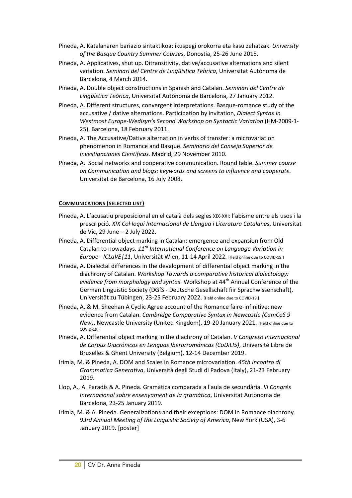- Pineda, A. Katalanaren bariazio sintaktikoa: ikuspegi orokorra eta kasu zehatzak. *University of the Basque Country Summer Courses*, Donostia, 25-26 June 2015.
- Pineda, A. Applicatives, shut up. Ditransitivity, dative/accusative alternations and silent variation. *Seminari del Centre de Lingüística Teòrica*, Universitat Autònoma de Barcelona, 4 March 2014.
- Pineda, A. Double object constructions in Spanish and Catalan. *Seminari del Centre de Lingüística Teòrica*, Universitat Autònoma de Barcelona, 27 January 2012.
- Pineda, A. Different structures, convergent interpretations. Basque-romance study of the accusative / dative alternations. Participation by invitation, *Dialect Syntax in Westmost Europe-Wedisyn's Second Workshop on Syntactic Variation* (HM-2009-1- 25). Barcelona, 18 February 2011.
- Pineda, A. The Accusative/Dative alternation in verbs of transfer: a microvariation phenomenon in Romance and Basque. *Seminario del Consejo Superior de Investigaciones Científicas.* Madrid, 29 November 2010.
- Pineda, A. Social networks and cooperative communication. Round table. *Summer course on Communication and blogs: keywords and screens to influence and cooperate.* Universitat de Barcelona, 16 July 2008.

#### **COMMUNICATIONS (SELECTED LIST)**

- Pineda, A. L'acusatiu preposicional en el català dels segles XIX-XXI: l'abisme entre els usos i la prescripció. *XIX Col·loqui Internacional de Llengua i Literatura Catalanes*, Universitat de Vic, 29 June – 2 July 2022.
- Pineda, A. Differential object marking in Catalan: emergence and expansion from Old Catalan to nowadays. *11th International Conference on Language Variation in Europe - ICLaVE|11*, Universität Wien, 11-14 April 2022. [Held online due to COVID-19.]
- Pineda, A. Dialectal differences in the development of differential object marking in the diachrony of Catalan. *Workshop Towards a comparative historical dialectology: evidence from morphology and syntax.* Workshop at 44th Annual Conference of the German Linguistic Society (DGfS - Deutsche Gesellschaft fiir Sprachwissenschaft), Universität zu Tübingen, 23-25 February 2022. [Held online due to COVID-19.]
- Pineda, A. & M. Sheehan A Cyclic Agree account of the Romance faire-infinitive: new evidence from Catalan. *Cambridge Comparative Syntax in Newcastle (CamCoS 9 New)*, Newcastle University (United Kingdom), 19-20 January 2021. [Held online due to COVID-19.]
- Pineda, A. Differential object marking in the diachrony of Catalan. *V Congreso Internacional de Corpus Diacrónicos en Lenguas Iberorrománicas (CoDiLI5)*, Université Libre de Bruxelles & Ghent University (Belgium), 12-14 December 2019.
- Irimia, M. & Pineda, A. DOM and Scales in Romance microvariation. *45th Incontro di Grammatica Generativa*, Università degli Studi di Padova (Italy), 21-23 February 2019.
- Llop, A., A. Paradís & A. Pineda. Gramàtica comparada a l'aula de secundària. *III Congrés Internacional sobre ensenyament de la gramàtica*, Universitat Autònoma de Barcelona, 23-25 January 2019.
- Irimia, M. & A. Pineda. Generalizations and their exceptions: DOM in Romance diachrony. *93rd Annual Meeting of the Linguistic Society of America*, New York (USA), 3-6 January 2019. [poster]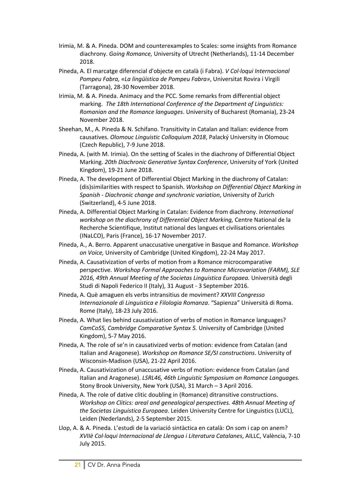- Irimia, M. & A. Pineda. DOM and counterexamples to Scales: some insights from Romance diachrony. *Going Romance,* University of Utrecht (Netherlands), 11-14 December 2018.
- Pineda, A. El marcatge diferencial d'objecte en català (i Fabra). *V Col·loqui Internacional Pompeu Fabra, «La lingüística de Pompeu Fabra»*, Universitat Rovira i Virgili (Tarragona), 28-30 November 2018.
- Irimia, M. & A. Pineda. Animacy and the PCC. Some remarks from differential object marking. *The 18th International Conference of the Department of Linguistics: Romanian and the Romance languages*. University of Bucharest (Romania), 23-24 November 2018.
- Sheehan, M., A. Pineda & N. Schifano. Transitivity in Catalan and Italian: evidence from causatives. *Olomouc Linguistic Colloquium 2018*, Palacký University in Olomouc (Czech Republic), 7-9 June 2018.
- Pineda, A. (with M. Irimia). On the setting of Scales in the diachrony of Differential Object Marking. *20th Diachronic Generative Syntax Conference*, University of York (United Kingdom), 19-21 June 2018.
- Pineda, A. The development of Differential Object Marking in the diachrony of Catalan: (dis)similarities with respect to Spanish. *Workshop on Differential Object Marking in Spanish - Diachronic change and synchronic variation*, University of Zurich (Switzerland), 4-5 June 2018.
- Pineda, A. Differential Object Marking in Catalan: Evidence from diachrony. *International workshop on the diachrony of Differential Object Marking,* Centre National de la Recherche Scientifique, Institut national des langues et civilisations orientales (INaLCO), Paris (France), 16-17 November 2017.
- Pineda, A., A. Berro. Apparent unaccusative unergative in Basque and Romance. *Workshop on Voice,* University of Cambridge (United Kingdom), 22-24 May 2017.
- Pineda, A. Causativization of verbs of motion from a Romance microcomparative perspective. *Workshop Formal Approaches to Romance Microvariation (FARM), SLE 2016, 49th Annual Meeting of the Societas Linguistica Europaea.* Università degli Studi di Napoli Federico II (Italy), 31 August - 3 September 2016.
- Pineda, A. Què amaguen els verbs intransitius de moviment? *XXVIII Congresso Internazionale di Linguistica e Filologia Romanza*. "Sapienza" Università di Roma. Rome (Italy), 18-23 July 2016.
- Pineda, A. What lies behind causativization of verbs of motion in Romance languages? *CamCoS5, Cambridge Comparative Syntax 5.* University of Cambridge (United Kingdom), 5-7 May 2016.
- Pineda, A. The role of se'n in causativized verbs of motion: evidence from Catalan (and Italian and Aragonese). *Workshop on Romance SE/SI constructions*. University of Wisconsin-Madison (USA), 21-22 April 2016.
- Pineda, A. Causativization of unaccusative verbs of motion: evidence from Catalan (and Italian and Aragonese). *LSRL46, 46th Linguistic Symposium on Romance Languages.* Stony Brook University, New York (USA), 31 March – 3 April 2016.
- Pineda, A. The role of dative clitic doubling in (Romance) ditransitive constructions. *Workshop on Clitics: areal and genealogical perspectives. 48th Annual Meeting of the Societas Linguistica Europaea*. Leiden University Centre for Linguistics (LUCL), Leiden (Nederlands), 2-5 September 2015.
- Llop, A. & A. Pineda. L'estudi de la variació sintàctica en català: On som i cap on anem? *XVIIè Col·loqui Internacional de Llengua i Literatura Catalanes*, AILLC, València, 7-10 July 2015.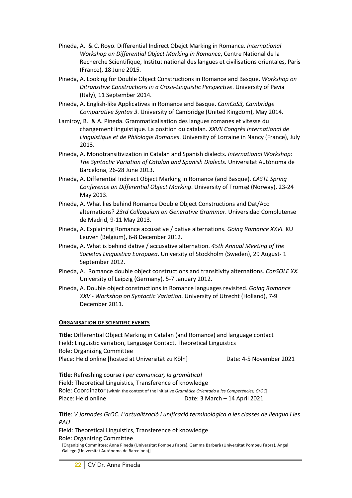- Pineda, A. & C. Royo. Differential Indirect Obejct Marking in Romance. *International Workshop on Differential Object Marking in Romance*, Centre National de la Recherche Scientifique, Institut national des langues et civilisations orientales, Paris (France), 18 June 2015.
- Pineda, A. Looking for Double Object Constructions in Romance and Basque. *Workshop on Ditransitive Constructions in a Cross-Linguistic Perspective*. University of Pavia (Italy), 11 September 2014.
- Pineda, A. English-like Applicatives in Romance and Basque. *CamCoS3, Cambridge Comparative Syntax 3*. University of Cambridge (United Kingdom), May 2014.
- Lamiroy, B.. & A. Pineda. Grammaticalisation des langues romanes et vitesse du changement linguistique. La position du catalan. *XXVII Congrès International de Linguistique et de Philologie Romanes*. University of Lorraine in Nancy (France), July 2013.
- Pineda, A. Monotransitivization in Catalan and Spanish dialects. *International Workshop: The Syntactic Variation of Catalan and Spanish Dialects.* Universitat Autònoma de Barcelona, 26-28 June 2013.
- Pineda, A. Differential Indirect Object Marking in Romance (and Basque). *CASTL Spring Conference on Differential Object Marking*. University of Tromsø (Norway), 23-24 May 2013.
- Pineda, A. What lies behind Romance Double Object Constructions and Dat/Acc alternations? *23rd Colloquium on Generative Grammar*. Universidad Complutense de Madrid, 9-11 May 2013.
- Pineda, A. Explaining Romance accusative / dative alternations. *Going Romance XXVI.* KU Leuven (Belgium), 6-8 December 2012.
- Pineda, A. What is behind dative / accusative alternation. *45th Annual Meeting of the Societas Linguistica Europaea*. University of Stockholm (Sweden), 29 August- 1 September 2012.
- Pineda, A. Romance double object constructions and transitivity alternations. *ConSOLE XX.* University of Leipzig (Germany), 5-7 January 2012.
- Pineda, A. Double object constructions in Romance languages revisited. *Going Romance XXV - Workshop on Syntactic Variation*. University of Utrecht (Holland), 7-9 December 2011.

#### **ORGANISATION OF SCIENTIFIC EVENTS**

**Title**: Differential Object Marking in Catalan (and Romance) and language contact Field: Linguistic variation, Language Contact, Theoretical Linguistics Role: Organizing Committee Place: Held online [hosted at Universität zu Köln] Date: 4-5 November 2021

**Title**: Refreshing course *I per comunicar, la gramàtica!* Field: Theoretical Linguistics, Transference of knowledge Role: Coordinator [within the context of the initiative *Gramàtica Orientada a les Competències, GrOC*] Place: Held online Date: 3 March – 14 April 2021

**Title**: *V Jornades GrOC. L'actualització i unificació terminològica a les classes de llengua i les PAU*

Field: Theoretical Linguistics, Transference of knowledge Role: Organizing Committee

[Organizing Committee: Anna Pineda (Universitat Pompeu Fabra), Gemma Barberà (Universitat Pompeu Fabra), Ángel Gallego (Universitat Autònoma de Barcelona)]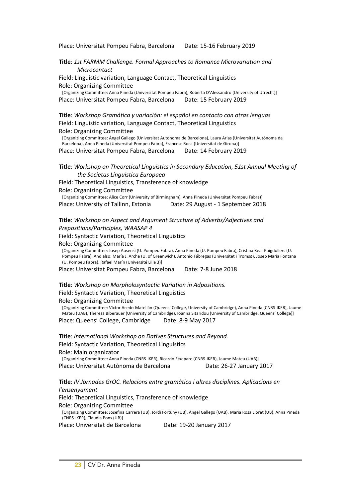Place: Universitat Pompeu Fabra, Barcelona Date: 15-16 February 2019

**Title**: *1st FARMM Challenge. Formal Approaches to Romance Microvariation and Microcontact*

Field: Linguistic variation, Language Contact, Theoretical Linguistics Role: Organizing Committee

[Organizing Committee: Anna Pineda (Universitat Pompeu Fabra), Roberta D'Alessandro (University of Utrecht)] Place: Universitat Pompeu Fabra, Barcelona Date: 15 February 2019

**Title**: *Workshop Gramática y variación: el español en contacto con otras lenguas* Field: Linguistic variation, Language Contact, Theoretical Linguistics Role: Organizing Committee [Organizing Committee: Ángel Gallego (Universitat Autònoma de Barcelona), Laura Arias (Universitat Autònoma de Barcelona), Anna Pineda (Universitat Pompeu Fabra), Francesc Roca (Universitat de Girona)]

Place: Universitat Pompeu Fabra, Barcelona Date: 14 February 2019

#### **Title**: *Workshop on Theoretical Linguistics in Secondary Education, 51st Annual Meeting of the Societas Linguistica Europaea*

Field: Theoretical Linguistics, Transference of knowledge Role: Organizing Committee [Organizing Committee: Alice Corr (University of Birmingham), Anna Pineda (Universitat Pompeu Fabra)] Place: University of Tallinn, Estonia Date: 29 August - 1 September 2018

**Title**: *Workshop on Aspect and Argument Structure of Adverbs/Adjectives and Prepositions/Participles, WAASAP 4*

Field: Syntactic Variation, Theoretical Linguistics

Role: Organizing Committee

[Organizing Committee: Josep Ausensi (U. Pompeu Fabra), Anna Pineda (U. Pompeu Fabra), Cristina Real-Puigdollers (U. Pompeu Fabra). And also: María J. Arche (U. of Greenwich), Antonio Fábregas (Universitet i Tromsø), Josep Maria Fontana (U. Pompeu Fabra), Rafael Marín (Université Lille 3)]

Place: Universitat Pompeu Fabra, Barcelona Date: 7-8 June 2018

**Title**: *Workshop on Morpholosyntactic Variation in Adpositions.*

Field: Syntactic Variation, Theoretical Linguistics

Role: Organizing Committee

[Organizing Committee: Víctor Acedo-Matellán (Queens' College, University of Cambridge), Anna Pineda (CNRS-IKER), Jaume Mateu (UAB), Theresa Biberauer (University of Cambridge), Ioanna Sitaridou (University of Cambridge, Queens' College)] Place: Queens' College, Cambridge Date: 8-9 May 2017

**Title**: *International Workshop on Datives Structures and Beyond.*  Field: Syntactic Variation, Theoretical Linguistics Role: Main organizator [Organizing Committee: Anna Pineda (CNRS-IKER), Ricardo Etxepare (CNRS-IKER), Jaume Mateu (UAB)]

Place: Universitat Autònoma de Barcelona Date: 26-27 January 2017

**Title**: *IV Jornades GrOC. Relacions entre gramàtica i altres disciplines. Aplicacions en l'ensenyament*

Field: Theoretical Linguistics, Transference of knowledge

Role: Organizing Committee

[Organizing Committee: Josefina Carrera (UB), Jordi Fortuny (UB), Ángel Gallego (UAB), Maria Rosa Lloret (UB), Anna Pineda (CNRS-IKER), Clàudia Pons (UB)]

Place: Universitat de Barcelona Date: 19-20 January 2017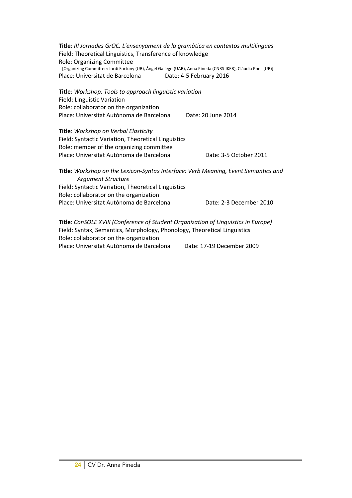**Title**: *III Jornades GrOC. L'ensenyament de la gramàtica en contextos multilingües* Field: Theoretical Linguistics, Transference of knowledge Role: Organizing Committee [Organizing Committee: Jordi Fortuny (UB), Ángel Gallego (UAB), Anna Pineda (CNRS-IKER), Clàudia Pons (UB)] Place: Universitat de Barcelona Date: 4-5 February 2016 **Title**: *Workshop: Tools to approach linguistic variation* Field: Linguistic Variation Role: collaborator on the organization Place: Universitat Autònoma de Barcelona Date: 20 June 2014 **Title**: *Workshop on Verbal Elasticity* Field: Syntactic Variation, Theoretical Linguistics Role: member of the organizing committee Place: Universitat Autònoma de Barcelona Date: 3-5 October 2011 **Title**: *Workshop on the Lexicon-Syntax Interface: Verb Meaning, Event Semantics and Argument Structure* Field: Syntactic Variation, Theoretical Linguistics Role: collaborator on the organization Place: Universitat Autònoma de Barcelona Date: 2-3 December 2010 **Title**: *ConSOLE XVIII (Conference of Student Organization of Linguistics in Europe)* Field: Syntax, Semantics, Morphology, Phonology, Theoretical Linguistics Role: collaborator on the organization

Place: Universitat Autònoma de Barcelona Date: 17-19 December 2009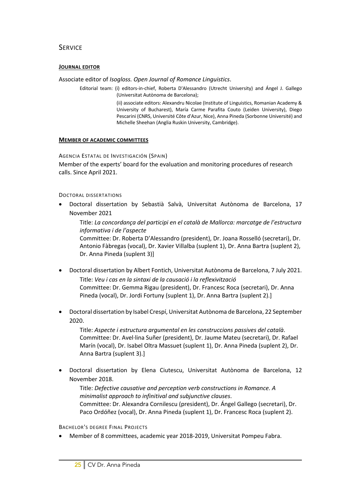# **SERVICE**

#### **JOURNAL EDITOR**

Associate editor of *Isogloss. Open Journal of Romance Linguistics*.

Editorial team: (i) editors-in-chief, Roberta D'Alessandro (Utrecht University) and Ángel J. Gallego (Universitat Autònoma de Barcelona);

> (ii) associate editors: Alexandru Nicolae (Institute of Linguistics, Romanian Academy & University of Bucharest), María Carme Parafita Couto (Leiden University), Diego Pescarini (CNRS, Université Côte d'Azur, Nice), Anna Pineda (Sorbonne Université) and Michelle Sheehan (Anglia Ruskin University, Cambridge).

#### **MEMBER OF ACADEMIC COMMITTEES**

AGENCIA ESTATAL DE INVESTIGACIÓN (SPAIN)

Member of the experts' board for the evaluation and monitoring procedures of research calls. Since April 2021.

#### DOCTORAL DISSERTATIONS

• Doctoral dissertation by Sebastià Salvà, Universitat Autònoma de Barcelona, 17 November 2021

Title: *La concordança del participi en el català de Mallorca: marcatge de l'estructura informativa i de l'aspecte*

Committee: Dr. Roberta D'Alessandro (president), Dr. Joana Rosselló (secretari), Dr. Antonio Fàbregas (vocal), Dr. Xavier Villalba (suplent 1), Dr. Anna Bartra (suplent 2), Dr. Anna Pineda (suplent 3)]

- Doctoral dissertation by Albert Fontich, Universitat Autònoma de Barcelona, 7 July 2021. Title: *Veu i cas en la sintaxi de la causació i la reflexivització* Committee: Dr. Gemma Rigau (president), Dr. Francesc Roca (secretari), Dr. Anna Pineda (vocal), Dr. Jordi Fortuny (suplent 1), Dr. Anna Bartra (suplent 2).]
- Doctoral dissertation by Isabel Crespí, Universitat Autònoma de Barcelona, 22 September 2020.

Title: *Aspecte i estructura argumental en les construccions passives del català*. Committee: Dr. Avel·lina Suñer (president), Dr. Jaume Mateu (secretari), Dr. Rafael Marín (vocal), Dr. Isabel Oltra Massuet (suplent 1), Dr. Anna Pineda (suplent 2), Dr. Anna Bartra (suplent 3).]

• Doctoral dissertation by Elena Ciutescu, Universitat Autònoma de Barcelona, 12 November 2018.

Title: *Defective causative and perception verb constructions in Romance. A minimalist approach to infinitival and subjunctive clauses*. Committee: Dr. Alexandra Cornilescu (president), Dr. Ángel Gallego (secretari), Dr. Paco Ordóñez (vocal), Dr. Anna Pineda (suplent 1), Dr. Francesc Roca (suplent 2).

BACHELOR'S DEGREE FINAL PROJECTS

• Member of 8 committees, academic year 2018-2019, Universitat Pompeu Fabra.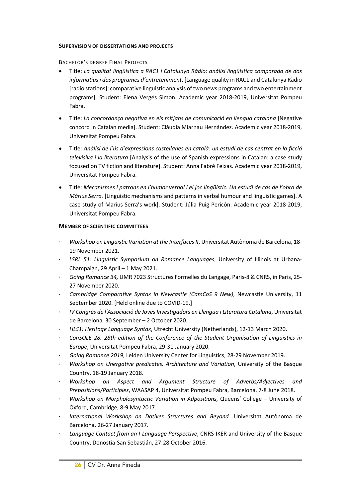#### **SUPERVISION OF DISSERTATIONS AND PROJECTS**

BACHELOR'S DEGREE FINAL PROJECTS

- Title: *La qualitat lingüística a RAC1 i Catalunya Ràdio: anàlisi lingüística comparada de dos informatius i dos programes d'entreteniment*. [Language quality in RAC1 and Catalunya Ràdio [radio stations]: comparative linguistic analysis of two news programs and two entertainment programs]. Student: Elena Vergés Simon. Academic year 2018-2019, Universitat Pompeu Fabra.
- Title: *La concordança negativa en els mitjans de comunicació en llengua catalana* [Negative concord in Catalan media]. Student: Clàudia Miarnau Hernández. Academic year 2018-2019, Universitat Pompeu Fabra.
- Title: *Anàlisi de l'ús d'expressions castellanes en català: un estudi de cas centrat en la ficció televisiva i la literatura* [Analysis of the use of Spanish expressions in Catalan: a case study focused on TV fiction and literature]. Student: Anna Fabré Feixas. Academic year 2018-2019, Universitat Pompeu Fabra.
- Title: *Mecanismes i patrons en l'humor verbal i el joc lingüístic. Un estudi de cas de l'obra de Màrius Serra.* [Linguistic mechanisms and patterns in verbal humour and linguistic games]. A case study of Marius Serra's work]. Student: Júlia Puig Pericón. Academic year 2018-2019, Universitat Pompeu Fabra.

#### **MEMBER OF SCIENTIFIC COMMITTEES**

- · *Workshop on Linguistic Variation at the Interfaces II*, Universitat Autònoma de Barcelona, 18- 19 November 2021.
- · *LSRL 51: Linguistic Symposium on Romance Languages*, University of Illinois at Urbana-Champaign, 29 April – 1 May 2021.
- · *Going Romance 34,* UMR 7023 Structures Formelles du Langage, Paris-8 & CNRS, in Paris, 25- 27 November 2020.
- · *Cambridge Comparative Syntax in Newcastle (CamCoS 9 New)*, Newcastle University, 11 September 2020. [Held online due to COVID-19.]
- · *IV Congrés de l'Associació de Joves Investigadors en Llengua i Literatura Catalana*, Universitat de Barcelona, 30 September – 2 October 2020.
- · *HLS1: Heritage Language Syntax*, Utrecht University (Netherlands), 12-13 March 2020.
- · *ConSOLE 28, 28th edition of the Conference of the Student Organisation of Linguistics in Europe*, Universitat Pompeu Fabra, 29-31 January 2020.
- · *Going Romance 2019*, Leiden University Center for Linguistics, 28-29 November 2019.
- · *Workshop on Unergative predicates. Architecture and Variation*, University of the Basque Country, 18-19 January 2018.
- · *Workshop on Aspect and Argument Structure of Adverbs/Adjectives and Prepositions/Participles*, WAASAP 4, Universitat Pompeu Fabra, Barcelona, 7-8 June 2018.
- · *Workshop on Morpholosyntactic Variation in Adpositions,* Queens' College University of Oxford, Cambridge, 8-9 May 2017.
- · *International Workshop on Datives Structures and Beyond*. Universitat Autònoma de Barcelona, 26-27 January 2017.
- · *Language Contact from an I-Language Perspective*, CNRS-IKER and University of the Basque Country, Donostia-San Sebastián, 27-28 October 2016.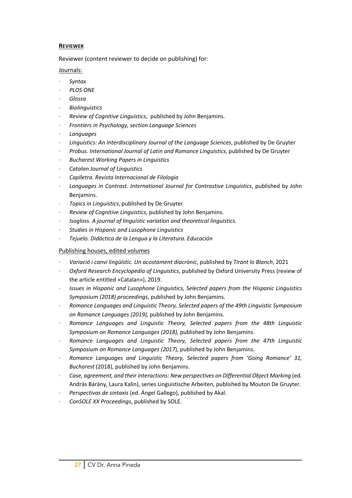### **REVIEWER**

Reviewer (content reviewer to decide on publishing) for:

Journals:

- · *Syntax*
- · *PLOS ONE*
- · *Glossa*
- · *Biolinguistics*
- · *Review of Cognitive Linguistics*, published by John Benjamins.
- · *Frontiers in Psychology, section Language Sciences*
- · *Languages*
- · *Linguistics: An Interdisciplinary Journal of the Language Sciences*, published by De Gruyter
- · *Probus. International Journal of Latin and Romance Linguistics*, published by De Gruyter
- · *Bucharest Working Papers in Linguistics*
- · *Catalan Journal of Linguistics*
- · *Caplletra. Revista Internacional de Filologia*
- · *Languages in Contrast. International Journal for Contrastive Linguistics*, published by John Benjamins.
- · *Topics in Linguistics*, published by De Gruyter
- · *Review of Cognitive Linguistics*, published by John Benjamins.
- · *Isogloss. A journal of linguistic variation and theoretical linguistics.*
- · *Studies in Hispanic and Lusophone Linguistics*
- · *Tejuelo. Didáctica de la Lengua y la Literatura. Educación*

# Publishing houses, edited volumes

- · *Variació i canvi lingüístic. Un acostament diacrònic*, published by *Tirant lo Blanch*, 2021
- · *Oxford Research Encyclopedia of Linguistics*, published by Oxford University Press (review of the article entitled «Catalan»), 2019.
- · *Issues in Hispanic and Lusophone Linguistics, Selected papers from the Hispanic Linguistics Symposium (2018) proceedings*, published by John Benjamins.
- · *Romance Languages and Linguistic Theory, Selected papers of the 49th Linguistic Symposium on Romance Languages (2019),* published by John Benjamins.
- · *Romance Languages and Linguistic Theory, Selected papers from the 48th Linguistic Symposium on Romance Languages (2018),* published by John Benjamins.
- · *Romance Languages and Linguistic Theory, Selected papers from the 47th Linguistic Symposium on Romance Languages (2017*), published by John Benjamins.
- · *Romance Languages and Linguistic Theory, Selected papers from 'Going Romance' 31, Bucharest* (2018), published by John Benjamins.
- · *Case, agreement, and their interactions: New perspectives on Differential Object Marking* (ed. András Bárány, Laura Kalin), series Linguistische Arbeiten, published by Mouton De Gruyter.
- · *Perspectivas de sintaxis* (ed. Ángel Gallego), published by Akal.
- · *ConSOLE XX Proceedings*, published by SOLE.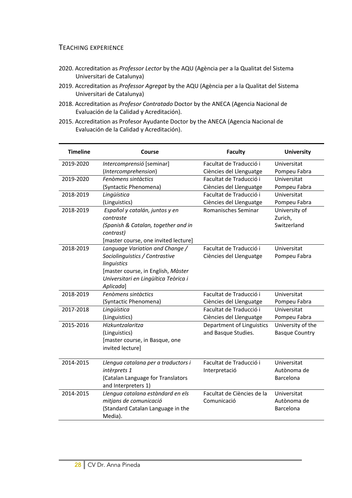# TEACHING EXPERIENCE

- 2020. Accreditation as *Professor Lector* by the AQU (Agència per a la Qualitat del Sistema Universitari de Catalunya)
- 2019. Accreditation as *Professor Agregat* by the AQU (Agència per a la Qualitat del Sistema Universitari de Catalunya)
- 2018. Accreditation as *Profesor Contratado* Doctor by the ANECA (Agencia Nacional de Evaluación de la Calidad y Acreditación).
- 2015. Accreditation as Profesor Ayudante Doctor by the ANECA (Agencia Nacional de Evaluación de la Calidad y Acreditación).

| <b>Timeline</b> | Course                                       | <b>Faculty</b>             | <b>University</b>     |
|-----------------|----------------------------------------------|----------------------------|-----------------------|
| 2019-2020       | Intercomprensió [seminar]                    | Facultat de Traducció i    | Universitat           |
|                 | (Intercomprehension)                         | Ciències del Llenguatge    | Pompeu Fabra          |
| 2019-2020       | Fenòmens sintàctics                          | Facultat de Traducció i    | Universitat           |
|                 | (Syntactic Phenomena)                        | Ciències del Llenguatge    | Pompeu Fabra          |
| 2018-2019       | Lingüística                                  | Facultat de Traducció i    | Universitat           |
|                 | (Linguistics)                                | Ciències del Llenguatge    | Pompeu Fabra          |
| 2018-2019       | Español y catalán, juntos y en               | Romanisches Seminar        | University of         |
|                 | contraste                                    |                            | Zurich,               |
|                 | (Spanish & Catalan, together and in          |                            | Switzerland           |
|                 | contrast)                                    |                            |                       |
|                 | [master course, one invited lecture]         |                            |                       |
| 2018-2019       | Language Variation and Change /              | Facultat de Traducció i    | Universitat           |
|                 | Sociolinguistics / Contrastive               | Ciències del Llenguatge    | Pompeu Fabra          |
|                 | linguistics                                  |                            |                       |
|                 | [master course, in English, Màster           |                            |                       |
|                 | Universitari en Lingüítica Teòrica i         |                            |                       |
|                 | Aplicada]                                    |                            |                       |
| 2018-2019       | Fenòmens sintàctics                          | Facultat de Traducció i    | Universitat           |
|                 | (Syntactic Phenomena)                        | Ciències del Llenguatge    | Pompeu Fabra          |
| 2017-2018       | Lingüística                                  | Facultat de Traducció i    | Universitat           |
|                 | (Linguistics)                                | Ciències del Llenguatge    | Pompeu Fabra          |
| 2015-2016       | Hizkuntzalaritza                             | Department of Linguistics  | University of the     |
|                 | (Linguistics)                                | and Basque Studies.        | <b>Basque Country</b> |
|                 | [master course, in Basque, one               |                            |                       |
|                 | invited lecture]                             |                            |                       |
|                 |                                              |                            |                       |
| 2014-2015       | Llengua catalana per a traductors i          | Facultat de Traducció i    | Universitat           |
|                 | intèrprets 1                                 | Interpretació              | Autònoma de           |
|                 | (Catalan Language for Translators            |                            | Barcelona             |
|                 | and Interpreters 1)                          |                            |                       |
| 2014-2015       | Llengua catalana estàndard en els            | Facultat de Ciències de la | Universitat           |
|                 | mitjans de comunicació                       | Comunicació                | Autònoma de           |
|                 | (Standard Catalan Language in the<br>Media). |                            | Barcelona             |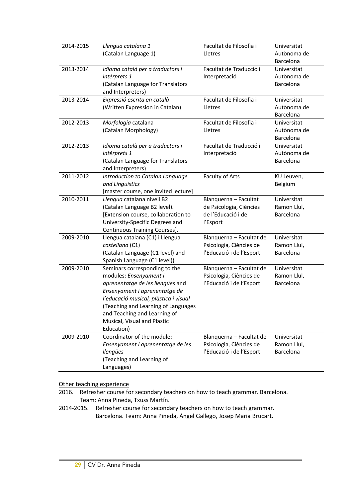| 2014-2015 | Llengua catalana 1<br>(Catalan Language 1)                                                                                                                                                                                                                                                | Facultat de Filosofia i<br>Lletres                                                 | Universitat<br>Autònoma de                           |
|-----------|-------------------------------------------------------------------------------------------------------------------------------------------------------------------------------------------------------------------------------------------------------------------------------------------|------------------------------------------------------------------------------------|------------------------------------------------------|
| 2013-2014 | Idioma català per a traductors i<br>intèrprets 1<br>(Catalan Language for Translators<br>and Interpreters)                                                                                                                                                                                | Facultat de Traducció i<br>Interpretació                                           | Barcelona<br>Universitat<br>Autònoma de<br>Barcelona |
| 2013-2014 | Expressió escrita en català<br>(Written Expression in Catalan)                                                                                                                                                                                                                            | Facultat de Filosofia i<br>Lletres                                                 | Universitat<br>Autònoma de<br>Barcelona              |
| 2012-2013 | Morfologia catalana<br>(Catalan Morphology)                                                                                                                                                                                                                                               | Facultat de Filosofia i<br>Lletres                                                 | Universitat<br>Autònoma de<br>Barcelona              |
| 2012-2013 | Idioma català per a traductors i<br>intèrprets 1<br>(Catalan Language for Translators<br>and Interpreters)                                                                                                                                                                                | Facultat de Traducció i<br>Interpretació                                           | Universitat<br>Autònoma de<br>Barcelona              |
| 2011-2012 | Introduction to Catalan Language<br>and Linguistics<br>[master course, one invited lecture]                                                                                                                                                                                               | Faculty of Arts                                                                    | KU Leuven,<br>Belgium                                |
| 2010-2011 | Llengua catalana nivell B2<br>(Catalan Language B2 level).<br>[Extension course, collaboration to<br>University-Specific Degrees and<br>Continuous Training Courses].                                                                                                                     | Blanquerna - Facultat<br>de Psicologia, Ciències<br>de l'Educació i de<br>l'Esport | Universitat<br>Ramon Llul,<br>Barcelona              |
| 2009-2010 | Llengua catalana (C1) i Llengua<br>castellana (C1)<br>(Catalan Language (C1 level) and<br>Spanish Language (C1 level))                                                                                                                                                                    | Blanquerna - Facultat de<br>Psicologia, Ciències de<br>l'Educació i de l'Esport    | Universitat<br>Ramon Llul,<br>Barcelona              |
| 2009-2010 | Seminars corresponding to the<br>modules: Ensenyament i<br>aprenentatge de les llengües and<br>Ensenyament i aprenentatge de<br>l'educació musical, plàstica i visual<br>(Teaching and Learning of Languages<br>and Teaching and Learning of<br>Musical, Visual and Plastic<br>Education) | Blanquerna - Facultat de<br>Psicologia, Ciències de<br>l'Educació i de l'Esport    | Universitat<br>Ramon Llul,<br>Barcelona              |
| 2009-2010 | Coordinator of the module:<br>Ensenyament i aprenentatge de les<br>llengües<br>(Teaching and Learning of<br>Languages)                                                                                                                                                                    | Blanquerna - Facultat de<br>Psicologia, Ciències de<br>l'Educació i de l'Esport    | Universitat<br>Ramon Llul,<br>Barcelona              |

### Other teaching experience

2016. Refresher course for secondary teachers on how to teach grammar. Barcelona. Team: Anna Pineda, Txuss Martín.

2014-2015. Refresher course for secondary teachers on how to teach grammar. Barcelona. Team: Anna Pineda, Ángel Gallego, Josep Maria Brucart.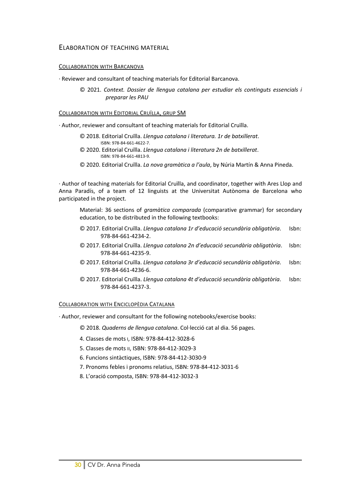### ELABORATION OF TEACHING MATERIAL

#### COLLABORATION WITH BARCANOVA

· Reviewer and consultant of teaching materials for Editorial Barcanova.

 © 2021. *Context. Dossier de llengua catalana per estudiar els continguts essencials i preparar les PAU*

#### COLLABORATION WITH EDITORIAL CRUÏLLA, GRUP SM

· Author, reviewer and consultant of teaching materials for Editorial Cruïlla.

- © 2018. Editorial Cruïlla. *Llengua catalana i literatura. 1r de batxillerat*. ISBN: 978-84-661-4622-7.
- © 2020. Editorial Cruïlla. *Llengua catalana i literatura 2n de batxillerat*. ISBN: 978-84-661-4813-9.
- © 2020. Editorial Cruïlla. *La nova gramàtica a l'aula*, by Núria Martín & Anna Pineda.

· Author of teaching materials for Editorial Cruïlla, and coordinator, together with Ares Llop and Anna Paradís, of a team of 12 linguists at the Universitat Autònoma de Barcelona who participated in the project.

Material: 36 sections of *gramàtica comparada* (comparative grammar) for secondary education, to be distributed in the following textbooks:

- © 2017. Editorial Cruïlla. *Llengua catalana 1r d'educació secundària obligatòria*. Isbn: 978-84-661-4234-2.
- © 2017. Editorial Cruïlla. *Llengua catalana 2n d'educació secundària obligatòria*. Isbn: 978-84-661-4235-9.
- © 2017. Editorial Cruïlla. *Llengua catalana 3r d'educació secundària obligatòria*. Isbn: 978-84-661-4236-6.
- © 2017. Editorial Cruïlla. *Llengua catalana 4t d'educació secundària obligatòria*. Isbn: 978-84-661-4237-3.

#### COLLABORATION WITH ENCICLOPÈDIA CATALANA

· Author, reviewer and consultant for the following notebooks/exercise books:

© 2018. *Quaderns de llengua catalana*. Col·lecció cat al dia. 56 pages.

- 4. Classes de mots I, ISBN: 978-84-412-3028-6
- 5. Classes de mots II, ISBN: 978-84-412-3029-3
- 6. Funcions sintàctiques, ISBN: 978-84-412-3030-9
- 7. Pronoms febles i pronoms relatius, ISBN: 978-84-412-3031-6
- 8. L'oració composta, ISBN: 978-84-412-3032-3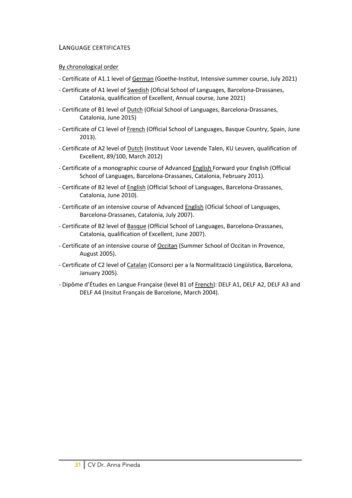# LANGUAGE CERTIFICATES

## By chronological order

- Certificate of A1.1 level of German (Goethe-Institut, Intensive summer course, July 2021)
- Certificate of A1 level of Swedish (Oficial School of Languages, Barcelona-Drassanes, Catalonia, qualification of Excellent, Annual course, June 2021)
- Certificate of B1 level of Dutch (Oficial School of Languages, Barcelona-Drassanes, Catalonia, June 2015)
- Certificate of C1 level of French (Official School of Languages, Basque Country, Spain, June 2013).
- Certificate of A2 level of Dutch (Instituut Voor Levende Talen, KU Leuven, qualification of Excellent, 89/100, March 2012)
- Certificate of a monographic course of Advanced English Forward your English (Official School of Languages, Barcelona-Drassanes, Catalonia, February 2011).
- Certificate of B2 level of English (Official School of Languages, Barcelona-Drassanes, Catalonia, June 2010).
- Certificate of an intensive course of Advanced English (Oficial School of Languages, Barcelona-Drassanes, Catalonia, July 2007).
- Certificate of B2 level of Basque (Official School of Languages, Barcelona-Drassanes, Catalonia, qualification of Excellent, June 2007).
- Certificate of an intensive course of Occitan (Summer School of Occitan in Provence, August 2005).
- Certificate of C2 level of Catalan (Consorci per a la Normalització Lingüística, Barcelona, January 2005).
- Dipôme d'Études en Langue Française (level B1 of French): DELF A1, DELF A2, DELF A3 and DELF A4 (Insitut Français de Barcelone, March 2004).